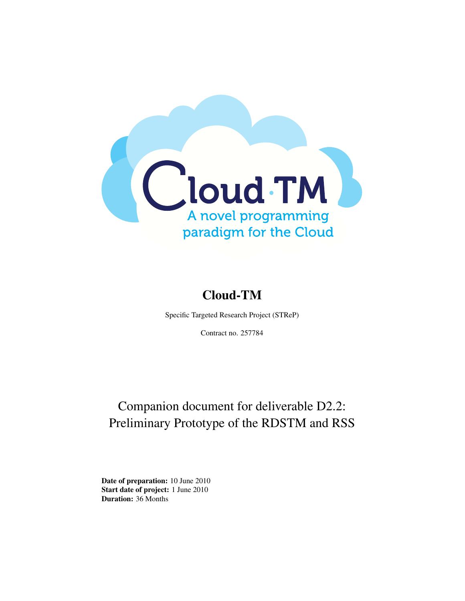

# Cloud-TM

Specific Targeted Research Project (STReP)

Contract no. 257784

# Companion document for deliverable D2.2: Preliminary Prototype of the RDSTM and RSS

Date of preparation: 10 June 2010 Start date of project: 1 June 2010 Duration: 36 Months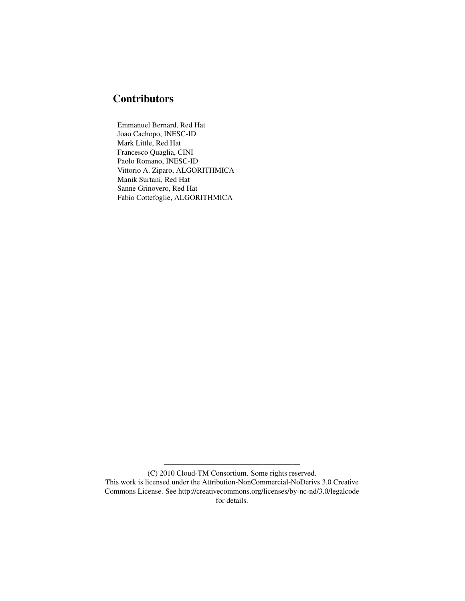# **Contributors**

Emmanuel Bernard, Red Hat Joao Cachopo, INESC-ID Mark Little, Red Hat Francesco Quaglia, CINI Paolo Romano, INESC-ID Vittorio A. Ziparo, ALGORITHMICA Manik Surtani, Red Hat Sanne Grinovero, Red Hat Fabio Cottefoglie, ALGORITHMICA

——————————————————

<sup>(</sup>C) 2010 Cloud-TM Consortium. Some rights reserved. This work is licensed under the Attribution-NonCommercial-NoDerivs 3.0 Creative

Commons License. See http://creativecommons.org/licenses/by-nc-nd/3.0/legalcode for details.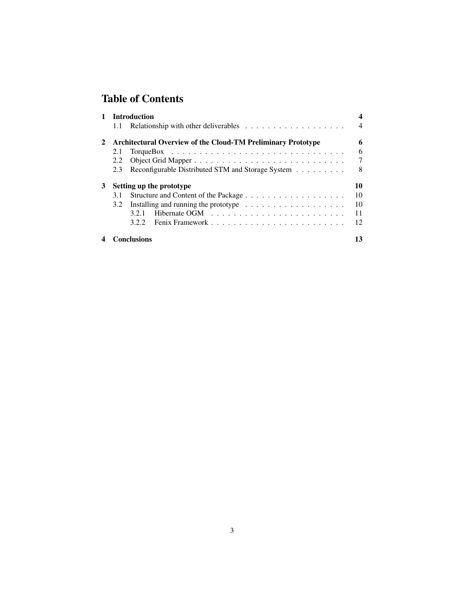# Table of Contents

|   | <b>Introduction</b>                                                 |                                                                            |                |
|---|---------------------------------------------------------------------|----------------------------------------------------------------------------|----------------|
|   | 1.1                                                                 | Relationship with other deliverables $\dots \dots \dots \dots \dots \dots$ | $\overline{4}$ |
| 2 | <b>Architectural Overview of the Cloud-TM Preliminary Prototype</b> |                                                                            |                |
|   | 2.1                                                                 |                                                                            | 6              |
|   | 2.2                                                                 |                                                                            | 7              |
|   | 2.3                                                                 | Reconfigurable Distributed STM and Storage System                          | 8              |
| 3 | 10<br>Setting up the prototype                                      |                                                                            |                |
|   | 3.1                                                                 |                                                                            | 10             |
|   | 3.2                                                                 | Installing and running the prototype $\dots \dots \dots \dots \dots \dots$ | 10             |
|   |                                                                     | 3.2.1                                                                      | 11             |
|   |                                                                     | 3.2.2                                                                      | 12             |
|   |                                                                     | Conclusions                                                                | 13             |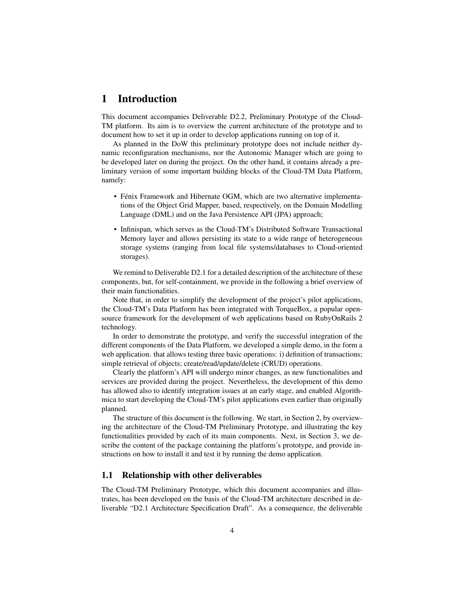### 1 Introduction

This document accompanies Deliverable D2.2, Preliminary Prototype of the Cloud-TM platform. Its aim is to overview the current architecture of the prototype and to document how to set it up in order to develop applications running on top of it.

As planned in the DoW this preliminary prototype does not include neither dynamic reconfiguration mechanisms, nor the Autonomic Manager which are going to be developed later on during the project. On the other hand, it contains already a preliminary version of some important building blocks of the Cloud-TM Data Platform, namely:

- Fénix Framework and Hibernate OGM, which are two alternative implementations of the Object Grid Mapper, based, respectively, on the Domain Modelling Language (DML) and on the Java Persistence API (JPA) approach;
- Infinispan, which serves as the Cloud-TM's Distributed Software Transactional Memory layer and allows persisting its state to a wide range of heterogeneous storage systems (ranging from local file systems/databases to Cloud-oriented storages).

We remind to Deliverable D2.1 for a detailed description of the architecture of these components, but, for self-containment, we provide in the following a brief overview of their main functionalities.

Note that, in order to simplify the development of the project's pilot applications, the Cloud-TM's Data Platform has been integrated with TorqueBox, a popular opensource framework for the development of web applications based on RubyOnRails 2 technology.

In order to demonstrate the prototype, and verify the successful integration of the different components of the Data Platform, we developed a simple demo, in the form a web application. that allows testing three basic operations: i) definition of transactions; simple retrieval of objects; create/read/update/delete (CRUD) operations.

Clearly the platform's API will undergo minor changes, as new functionalities and services are provided during the project. Nevertheless, the development of this demo has allowed also to identify integration issues at an early stage, and enabled Algorithmica to start developing the Cloud-TM's pilot applications even earlier than originally planned.

The structure of this document is the following. We start, in Section 2, by overviewing the architecture of the Cloud-TM Preliminary Prototype, and illustrating the key functionalities provided by each of its main components. Next, in Section 3, we describe the content of the package containing the platform's prototype, and provide instructions on how to install it and test it by running the demo application.

#### 1.1 Relationship with other deliverables

The Cloud-TM Preliminary Prototype, which this document accompanies and illustrates, has been developed on the basis of the Cloud-TM architecture described in deliverable "D2.1 Architecture Specification Draft". As a consequence, the deliverable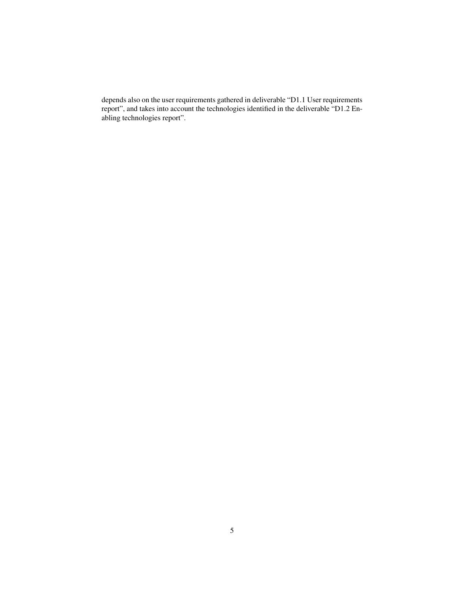depends also on the user requirements gathered in deliverable "D1.1 User requirements report", and takes into account the technologies identified in the deliverable "D1.2 Enabling technologies report".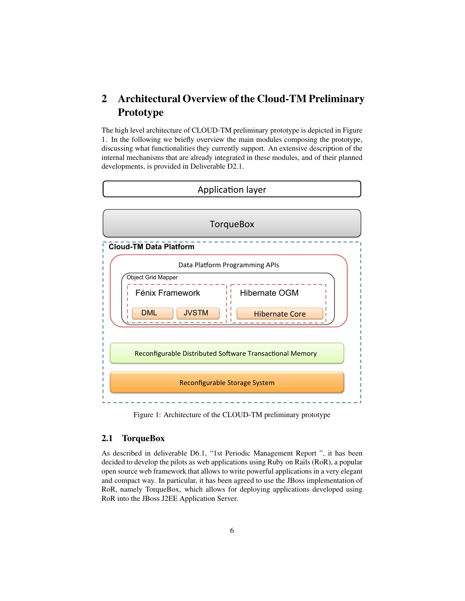## 2 Architectural Overview of the Cloud-TM Preliminary Prototype

The high level architecture of CLOUD-TM preliminary prototype is depicted in Figure 1. In the following we briefly overview the main modules composing the prototype, discussing what functionalities they currently support. An extensive description of the internal mechanisms that are already integrated in these modules, and of their planned developments, is provided in Deliverable D2.1.



Figure 1: Architecture of the CLOUD-TM preliminary prototype

#### 2.1 TorqueBox

As described in deliverable D6.1, "1st Periodic Management Report ", it has been decided to develop the pilots as web applications using Ruby on Rails (RoR), a popular open source web framework that allows to write powerful applications in a very elegant and compact way. In particular, it has been agreed to use the JBoss implementation of RoR, namely TorqueBox, which allows for deploying applications developed using RoR into the JBoss J2EE Application Server.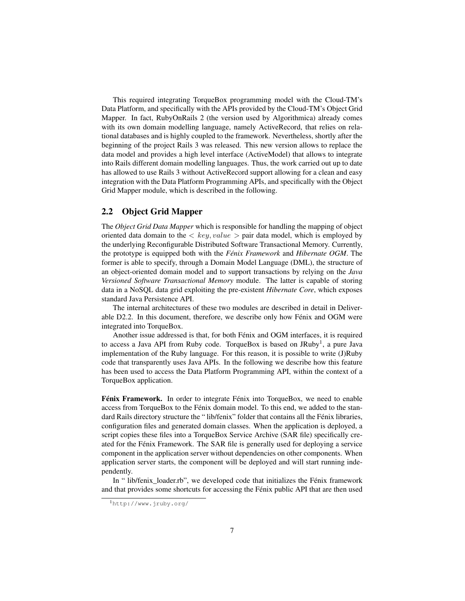This required integrating TorqueBox programming model with the Cloud-TM's Data Platform, and specifically with the APIs provided by the Cloud-TM's Object Grid Mapper. In fact, RubyOnRails 2 (the version used by Algorithmica) already comes with its own domain modelling language, namely ActiveRecord, that relies on relational databases and is highly coupled to the framework. Nevertheless, shortly after the beginning of the project Rails 3 was released. This new version allows to replace the data model and provides a high level interface (ActiveModel) that allows to integrate into Rails different domain modelling languages. Thus, the work carried out up to date has allowed to use Rails 3 without ActiveRecord support allowing for a clean and easy integration with the Data Platform Programming APIs, and specifically with the Object Grid Mapper module, which is described in the following.

#### 2.2 Object Grid Mapper

The *Object Grid Data Mapper* which is responsible for handling the mapping of object oriented data domain to the  $\langle key, value \rangle$  pair data model, which is employed by the underlying Reconfigurable Distributed Software Transactional Memory. Currently, the prototype is equipped both with the *Fénix Framework* and *Hibernate OGM*. The former is able to specify, through a Domain Model Language (DML), the structure of an object-oriented domain model and to support transactions by relying on the *Java Versioned Software Transactional Memory* module. The latter is capable of storing data in a NoSQL data grid exploiting the pre-existent *Hibernate Core*, which exposes standard Java Persistence API.

The internal architectures of these two modules are described in detail in Deliverable D2.2. In this document, therefore, we describe only how Fénix and OGM were integrated into TorqueBox.

Another issue addressed is that, for both Fénix and OGM interfaces, it is required to access a Java API from Ruby code. TorqueBox is based on JRuby<sup>1</sup>, a pure Java implementation of the Ruby language. For this reason, it is possible to write (J)Ruby code that transparently uses Java APIs. In the following we describe how this feature has been used to access the Data Platform Programming API, within the context of a TorqueBox application.

Fénix Framework. In order to integrate Fénix into TorqueBox, we need to enable access from TorqueBox to the Fénix domain model. To this end, we added to the standard Rails directory structure the " lib/fenix" folder that contains all the Fénix libraries, configuration files and generated domain classes. When the application is deployed, a script copies these files into a TorqueBox Service Archive (SAR file) specifically created for the Fénix Framework. The SAR file is generally used for deploying a service component in the application server without dependencies on other components. When application server starts, the component will be deployed and will start running independently.

In " lib/fenix\_loader.rb", we developed code that initializes the Fénix framework and that provides some shortcuts for accessing the Fénix public API that are then used

<sup>1</sup>http://www.jruby.org/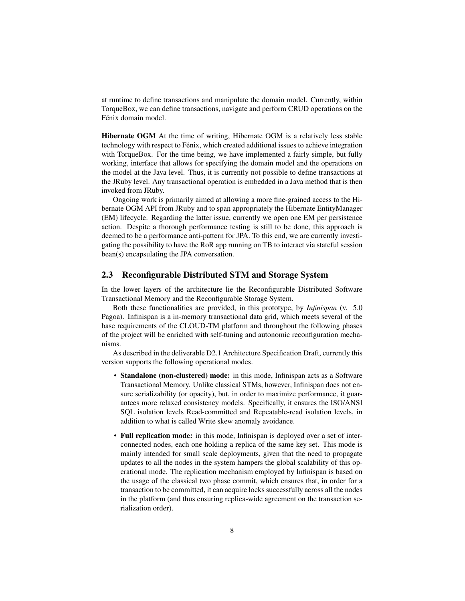at runtime to define transactions and manipulate the domain model. Currently, within TorqueBox, we can define transactions, navigate and perform CRUD operations on the Fénix domain model.

Hibernate OGM At the time of writing, Hibernate OGM is a relatively less stable technology with respect to Fénix, which created additional issues to achieve integration with TorqueBox. For the time being, we have implemented a fairly simple, but fully working, interface that allows for specifying the domain model and the operations on the model at the Java level. Thus, it is currently not possible to define transactions at the JRuby level. Any transactional operation is embedded in a Java method that is then invoked from JRuby.

Ongoing work is primarily aimed at allowing a more fine-grained access to the Hibernate OGM API from JRuby and to span appropriately the Hibernate EntityManager (EM) lifecycle. Regarding the latter issue, currently we open one EM per persistence action. Despite a thorough performance testing is still to be done, this approach is deemed to be a performance anti-pattern for JPA. To this end, we are currently investigating the possibility to have the RoR app running on TB to interact via stateful session bean(s) encapsulating the JPA conversation.

#### 2.3 Reconfigurable Distributed STM and Storage System

In the lower layers of the architecture lie the Reconfigurable Distributed Software Transactional Memory and the Reconfigurable Storage System.

Both these functionalities are provided, in this prototype, by *Infinispan* (v. 5.0 Pagoa). Infinispan is a in-memory transactional data grid, which meets several of the base requirements of the CLOUD-TM platform and throughout the following phases of the project will be enriched with self-tuning and autonomic reconfiguration mechanisms.

As described in the deliverable D2.1 Architecture Specification Draft, currently this version supports the following operational modes.

- Standalone (non-clustered) mode: in this mode, Infinispan acts as a Software Transactional Memory. Unlike classical STMs, however, Infinispan does not ensure serializability (or opacity), but, in order to maximize performance, it guarantees more relaxed consistency models. Specifically, it ensures the ISO/ANSI SQL isolation levels Read-committed and Repeatable-read isolation levels, in addition to what is called Write skew anomaly avoidance.
- Full replication mode: in this mode, Infinispan is deployed over a set of interconnected nodes, each one holding a replica of the same key set. This mode is mainly intended for small scale deployments, given that the need to propagate updates to all the nodes in the system hampers the global scalability of this operational mode. The replication mechanism employed by Infinispan is based on the usage of the classical two phase commit, which ensures that, in order for a transaction to be committed, it can acquire locks successfully across all the nodes in the platform (and thus ensuring replica-wide agreement on the transaction serialization order).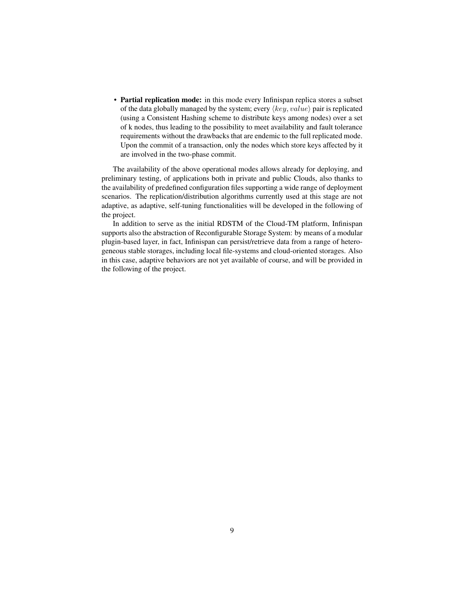• Partial replication mode: in this mode every Infinispan replica stores a subset of the data globally managed by the system; every  $\langle key, value \rangle$  pair is replicated (using a Consistent Hashing scheme to distribute keys among nodes) over a set of k nodes, thus leading to the possibility to meet availability and fault tolerance requirements without the drawbacks that are endemic to the full replicated mode. Upon the commit of a transaction, only the nodes which store keys affected by it are involved in the two-phase commit.

The availability of the above operational modes allows already for deploying, and preliminary testing, of applications both in private and public Clouds, also thanks to the availability of predefined configuration files supporting a wide range of deployment scenarios. The replication/distribution algorithms currently used at this stage are not adaptive, as adaptive, self-tuning functionalities will be developed in the following of the project.

In addition to serve as the initial RDSTM of the Cloud-TM platform, Infinispan supports also the abstraction of Reconfigurable Storage System: by means of a modular plugin-based layer, in fact, Infinispan can persist/retrieve data from a range of heterogeneous stable storages, including local file-systems and cloud-oriented storages. Also in this case, adaptive behaviors are not yet available of course, and will be provided in the following of the project.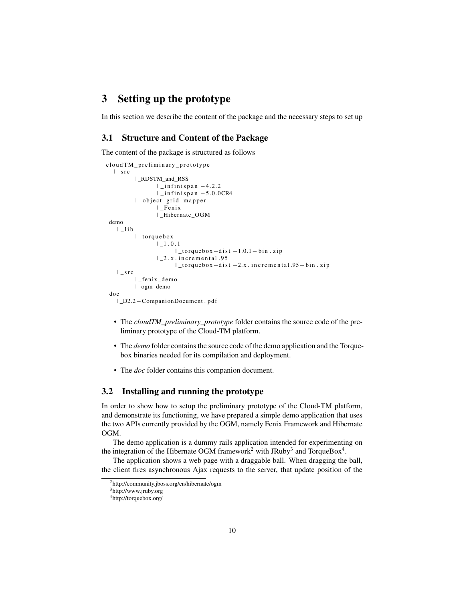### 3 Setting up the prototype

In this section we describe the content of the package and the necessary steps to set up

#### 3.1 Structure and Content of the Package

The content of the package is structured as follows

```
cloud TM_preliminary_prototype
 | _s r c
          | _RDSTM_and_RSS
                   \lfloor infinispan -4.2.2| _ i n f i n i s p a n −5. 0. 0CR4
          | _ o b j e c t _ g r i d _ m a p p e r
                   | _ F e ni x
                   | _Hibernate_OGM
demo
   | | | i b
          | _torquebox
                  | -1.0.1\perp torque box -d is t -1.0.1 - bin. zip
                   |2 x. incremental .95
                          | _t o r q u e b o x−d i s t −2. x . i n c r e m e n t a l .95− bi n . z i p
   | _{S} r c
          | _ fe ni x _ dem o
          | ogm demo
doc
   | _D2.2−CompanionDocument . p d f
```
- The *cloudTM\_preliminary\_prototype* folder contains the source code of the preliminary prototype of the Cloud-TM platform.
- The *demo* folder contains the source code of the demo application and the Torquebox binaries needed for its compilation and deployment.
- The *doc* folder contains this companion document.

#### 3.2 Installing and running the prototype

In order to show how to setup the preliminary prototype of the Cloud-TM platform, and demonstrate its functioning, we have prepared a simple demo application that uses the two APIs currently provided by the OGM, namely Fenix Framework and Hibernate OGM.

The demo application is a dummy rails application intended for experimenting on the integration of the Hibernate OGM framework<sup>2</sup> with JRuby<sup>3</sup> and TorqueBox<sup>4</sup>.

The application shows a web page with a draggable ball. When dragging the ball, the client fires asynchronous Ajax requests to the server, that update position of the

<sup>2</sup>http://community.jboss.org/en/hibernate/ogm

<sup>3</sup>http://www.jruby.org

<sup>4</sup>http://torquebox.org/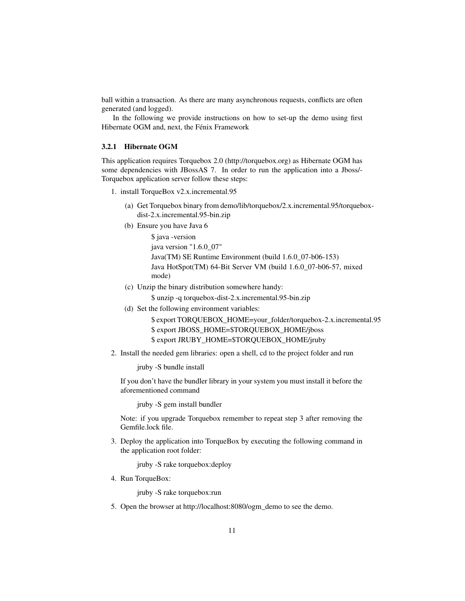ball within a transaction. As there are many asynchronous requests, conflicts are often generated (and logged).

In the following we provide instructions on how to set-up the demo using first Hibernate OGM and, next, the Fénix Framework

#### 3.2.1 Hibernate OGM

This application requires Torquebox 2.0 (http://torquebox.org) as Hibernate OGM has some dependencies with JBossAS 7. In order to run the application into a Jboss/- Torquebox application server follow these steps:

- 1. install TorqueBox v2.x.incremental.95
	- (a) Get Torquebox binary from demo/lib/torquebox/2.x.incremental.95/torqueboxdist-2.x.incremental.95-bin.zip
	- (b) Ensure you have Java 6

\$ java -version java version "1.6.0\_07" Java(TM) SE Runtime Environment (build 1.6.0\_07-b06-153) Java HotSpot(TM) 64-Bit Server VM (build 1.6.0\_07-b06-57, mixed mode)

(c) Unzip the binary distribution somewhere handy:

\$ unzip -q torquebox-dist-2.x.incremental.95-bin.zip

(d) Set the following environment variables:

\$ export TORQUEBOX\_HOME=your\_folder/torquebox-2.x.incremental.95 \$ export JBOSS\_HOME=\$TORQUEBOX\_HOME/jboss \$ export JRUBY\_HOME=\$TORQUEBOX\_HOME/jruby

2. Install the needed gem libraries: open a shell, cd to the project folder and run

jruby -S bundle install

If you don't have the bundler library in your system you must install it before the aforementioned command

jruby -S gem install bundler

Note: if you upgrade Torquebox remember to repeat step 3 after removing the Gemfile.lock file.

3. Deploy the application into TorqueBox by executing the following command in the application root folder:

jruby -S rake torquebox:deploy

4. Run TorqueBox:

jruby -S rake torquebox:run

5. Open the browser at http://localhost:8080/ogm\_demo to see the demo.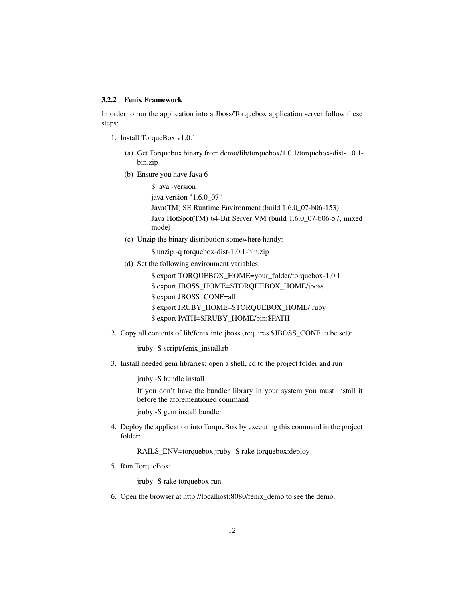#### 3.2.2 Fenix Framework

In order to run the application into a Jboss/Torquebox application server follow these steps:

- 1. Install TorqueBox v1.0.1
	- (a) Get Torquebox binary from demo/lib/torquebox/1.0.1/torquebox-dist-1.0.1 bin.zip
	- (b) Ensure you have Java 6

\$ java -version java version "1.6.0\_07" Java(TM) SE Runtime Environment (build 1.6.0\_07-b06-153) Java HotSpot(TM) 64-Bit Server VM (build 1.6.0\_07-b06-57, mixed mode)

(c) Unzip the binary distribution somewhere handy:

\$ unzip -q torquebox-dist-1.0.1-bin.zip

(d) Set the following environment variables:

\$ export TORQUEBOX\_HOME=your\_folder/torquebox-1.0.1 \$ export JBOSS\_HOME=\$TORQUEBOX\_HOME/jboss \$ export JBOSS\_CONF=all \$ export JRUBY\_HOME=\$TORQUEBOX\_HOME/jruby \$ export PATH=\$JRUBY\_HOME/bin:\$PATH

2. Copy all contents of lib/fenix into jboss (requires \$JBOSS\_CONF to be set):

jruby -S script/fenix\_install.rb

3. Install needed gem libraries: open a shell, cd to the project folder and run

jruby -S bundle install

If you don't have the bundler library in your system you must install it before the aforementioned command

jruby -S gem install bundler

4. Deploy the application into TorqueBox by executing this command in the project folder:

RAILS\_ENV=torquebox jruby -S rake torquebox:deploy

5. Run TorqueBox:

jruby -S rake torquebox:run

6. Open the browser at http://localhost:8080/fenix\_demo to see the demo.